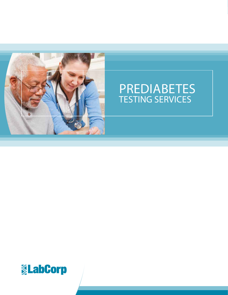

# PREDIABETES TESTING SERVICES

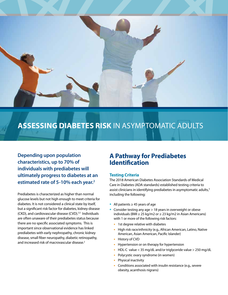

## **ASSESSING DIABETES RISK** IN ASYMPTOMATIC ADULTS

**Depending upon population characteristics, up to 70% of individuals with prediabetes will ultimately progress to diabetes at an estimated rate of 5-10% each year.2** 

Prediabetes is characterized as higher than normal glucose levels but not high enough to meet criteria for diabetes. It is not considered a clinical state by itself, but a significant risk factor for diabetes, kidney disease (CKD), and cardiovascular disease (CVD).<sup>3,5</sup> Individuals are often unaware of their prediabetes status because there are no specific associated symptoms. This is important since observational evidence has linked prediabetes with early nephropathy, chronic kidney disease, small fiber neuropathy, diabetic retinopathy, and increased risk of macrovascular disease.2

### **A Pathway for Prediabetes Identification**

#### **Testing Criteria**

The 2018 American Diabetes Association Standards of Medical Care in Diabetes (ADA standards) established testing criteria to assist clinicians in identifying prediabetes in asymptomatic adults,<sup>3</sup> including the following:

- **•** All patients ≥ 45 years of age
- **•** Consider testing any age > 18 years in overweight or obese individuals (BMI ≥ 25 kg/m2 or ≥ 23 kg/m2 in Asian Americans) with 1 or more of the following risk factors:
	- **•** 1st degree relative with diabetes
	- **•** High risk race/ethnicity (e.g., African American, Latino, Native American, Asian American, Pacific Islander)
	- **•** History of CVD
	- **•** Hypertension or on therapy for hypertension
	- **•** HDL-C value < 35 mg/dL and/or triglyceride value > 250 mg/dL
	- **•** Polycystic ovary syndrome (in women)
	- **•** Physical inactivity
	- **•** Conditions associated with insulin resistance (e.g., severe obesity, acanthosis nigrans)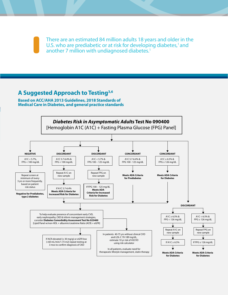There are an estimated 84 million adults 18 years and older in the U.S. who are prediabetic or at risk for developing diabetes, $1$  and another 7 million with undiagnosed diabetes.<sup>1</sup>

### **A Suggested Approach to Testing3,6**

**Based on ACC/AHA 2013 Guidelines, 2018 Standards of Medical Care in Diabetes, and general practice standards**

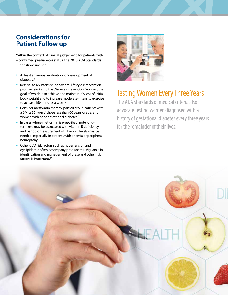## **Considerations for Patient Follow up**

Within the context of clinical judgement, for patients with a confirmed prediabetes status, the 2018 ADA Standards suggestions include:

- **•** At least an annual evaluation for development of diabetes.<sup>3</sup>
- **•** Referral to an intensive behavioral lifestyle intervention program similar to the Diabetes Prevention Program, the goal of which is to achieve and maintain 7% loss of initial body weight and to increase moderate-intensity exercise to at least 150 minutes a week.<sup>3</sup>
- **•** Consider metformin therapy, particularly in patients with a BMI ≥ 35 kg/m,<sup>2</sup> those less than 60 years of age, and women with prior gestational diabetes.<sup>3</sup>
- **•** In cases where metformin is prescribed, note longterm use may be associated with vitamin B deficiency and periodic measurement of vitamin B levels may be needed, especially in patients with anemia or peripheral neuropathy.3
- **•** Other CVD risk factors such as hypertension and dyslipidemia often accompany prediabetes. Vigilance in identification and management of these and other risk factors is important.3,5



## Testing Women Every Three Years

The ADA standards of medical criteria also advocate testing women diagnosed with a history of gestational diabetes every three years for the remainder of their lives.3

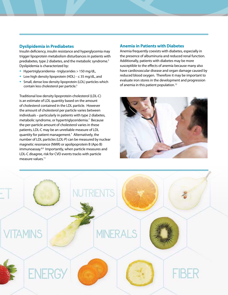### **Dyslipidemia in Prediabetes**

Insulin deficiency, insulin resistance and hyperglycemia may trigger lipoprotein metabolism disturbances in patients with prediabetes, type 2 diabetes, and the metabolic syndrome.<sup>5</sup> Dyslipidemia is characterized by:

- **•** Hypertriglyceridemia triglycerides > 150 mg/dL,
- **•** Low high density lipoprotein (HDL) ≤ 35 mg/dL, and
- **•** Small, dense low density lipoprotein (LDL) particles which contain less cholesterol per particle.<sup>5</sup>

Traditional low density lipoprotein-cholesterol (LDL-C) is an estimate of LDL quantity based on the amount of cholesterol contained in the LDL particle. However the amount of cholesterol per particle varies between individuals – particularly in patients with type 2 diabetes, metabolic syndrome, or hypertriglyceridemia.<sup>7</sup> Because the per-particle amount of cholesterol varies in these patients, LDL-C may be an unreliable measure of LDL quantity for patient management.7 Alternatively, the number of LDL particles (LDL-P) can be measured by nuclear magnetic resonance (NMR) or apolipoprotein B (Apo B) immunoassay.<sup>8,9</sup> Importantly, when particle measures and LDL-C disagree, risk for CVD events tracks with particle measure values.<sup>11</sup>

#### **Anemia in Patients with Diabetes**

Anemia frequently coexists with diabetes, especially in the presence of albuminuria and reduced renal function. Additionally, patients with diabetes may be more susceptible to the effects of anemia because many also have cardiovascular disease and organ damage caused by reduced blood oxygen. Therefore it may be important to evaluate iron stores in the development and progression of anemia in this patient population.<sup>12</sup>



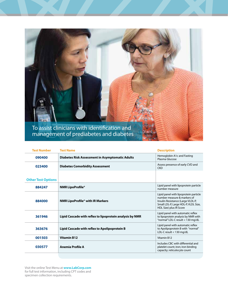

| <b>Test Number</b>        | <b>Test Name</b>                                         | <b>Description</b>                                                                                                                                                           |
|---------------------------|----------------------------------------------------------|------------------------------------------------------------------------------------------------------------------------------------------------------------------------------|
| 090400                    | <b>Diabetes Risk Assessment in Asymptomatic Adults</b>   | Hemoglobin A1c and Fasting<br>Plasma Glucose                                                                                                                                 |
| 023400                    | <b>Diabetes Comorbidity Assessment</b>                   | Assess presence of early CVD and<br><b>CKD</b>                                                                                                                               |
| <b>Other Test Options</b> |                                                          |                                                                                                                                                                              |
| 884247                    | <b>NMR LipoProfile®</b>                                  | Lipid panel with lipoprotein particle<br>number measure                                                                                                                      |
| 884000                    | <b>NMR LipoProfile® with IR Markers</b>                  | Lipid panel with lipoprotein particle<br>number measure & markers of<br>Insulin Resistance (Large VLDL-P,<br>Small LDL-P, Large HDL-P, VLDL Size,<br>HDL Size) plus IR Score |
| 361946                    | Lipid Cascade with reflex to lipoprotein analysis by NMR | Lipid panel with automatic reflex<br>to lipoprotein analysis by NMR with<br>"normal" LDL-C result < 130 mg/dL                                                                |
| 363676                    | Lipid Cascade with reflex to Apolipoprotein B            | Lipid panel with automatic reflex<br>to Apolipoprotein B with "normal"<br>LDL-C result < 130 mg/dL                                                                           |
| 001503                    | <b>Vitamin B12</b>                                       | Vitamin B12                                                                                                                                                                  |
| 030577                    | Anemia Profile A                                         | Includes CBC with differential and<br>platelet count; iron; iron binding<br>capacity; reticulocyte count                                                                     |
|                           |                                                          |                                                                                                                                                                              |

Visit the online Test Menu at **www.LabCorp.com** for full test information, including CPT codes and specimen collection requirements.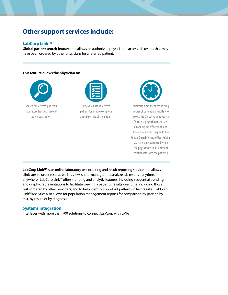## **Other support services include:**

#### **LabCorp Link™**

**Global patient search feature** that allows an authorized physician to access lab results that may have been ordered by other physicians for a referred patient.

#### **This feature allows the physician to:**



Search for referred patient's laboratory test with several search parameters



Review results of referred patient for a more complete clinical picture of the patient



Minimize time spent requesting copies of patient lab results (To access the Global Patient Search feature, a physician must have a LabCorp Link™ account, and the physician must agree to the Global Search Terms of Use. Global search is only permitted when the physician is in a treatment relationship with the patient.)

LabCorp Link<sup>™</sup> is an online laboratory test ordering and result reporting service that allows clinicians to order tests as well as view, share, manage, and analyze lab results - anytime, anywhere. LabCorp Link™ offers trending and analytic features, including sequential trending and graphic representations to facilitate viewing a patient's results over time, including those tests ordered by other providers, and to help identify important patterns in test results. LabCorp  $Link^{TM}$  analytics also allows for population management reports for comparison by patient, by test, by result, or by diagnosis.

#### **Systems integration**

Interfaces with more than 700 solutions to connect LabCorp with EMRs.